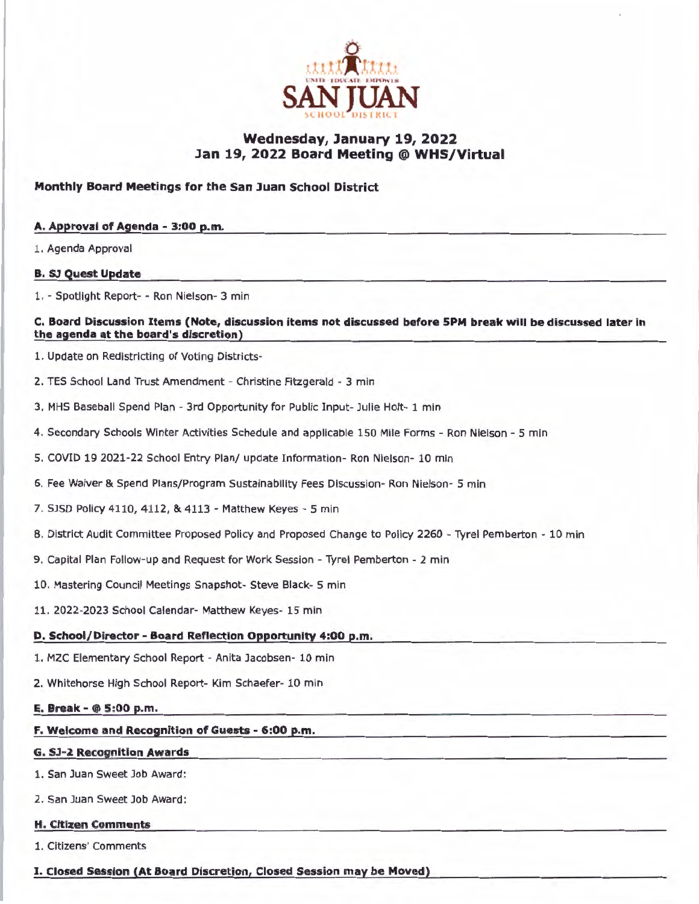

# **Wednesday, January 19, 2022 Jan 19, 2022 Board Meeting @ WHS/Virtual**

# **Monthly Board Meetings for the San Juan School District**

#### **A. Approval of Agenda - 3:00 p.m.**

1. Agenda Approval

#### **B. SJ Quest Update**

1. - Spotlight Report- - Ron Nielson- 3 min

#### **C. Board Discussion Items (Note, discussion items not discussed before 5PM break will be discussed later In the agenda at the board's discretion)**

- 1. Update on Redistricting of Voting Districts-
- 2. TES School Land Trust Amendment Christine Fitzgerald 3 min
- 3. MHS Baseball Spend Plan 3rd Opportunity for Public Input- Julie Holt- 1 min
- 4. Secondary Schools Winter Activities Schedule and applicable 150 Mile Forms Ron Nielson 5 min
- 5. COVID 19 2021-22 School Entry Plan/ update Information- Ron Nielson- 10 min
- 6. Fee Waiver & Spend Plans/Program Sustainability Fees Discussion- Ron Nielson- 5 min
- 7. SJSD Policy 4110, 4112, & 4113 Matthew Keyes 5 min
- 8. District Audit Committee Proposed Policy and Proposed Change to Policy 2260 Tyrel Pemberton 10 min
- 9. Capital Plan Follow-up and Request for Work Session Tyrel Pemberton 2 min
- 10. Mastering Council Meetings Snapshot- Steve Black- 5 min
- 11. 2022-2023 School Calendar- Matthew Keyes- 15 min

### **D. School/Director - Board Reflection Opportunity 4:00 p.m.**

- 1. MZC Elementary School Report Anita Jacobsen- 10 min
- 2. Whitehorse High School Report- Kim Schaefer- 10 min

#### **E. Break** - @ **5:00 p.m.**

**F. Welcome and Recognition of Guests - 6:00 p.m.** 

#### **G. SJ-2 Recognition Awards**

1. San Juan Sweet Job Award:

2. San Juan Sweet Job Award:

#### **H. Citizen Comments**

1. Citizens' Comments

I. **Closed Session (At Board Discretion, Closed Session may be Moved)**